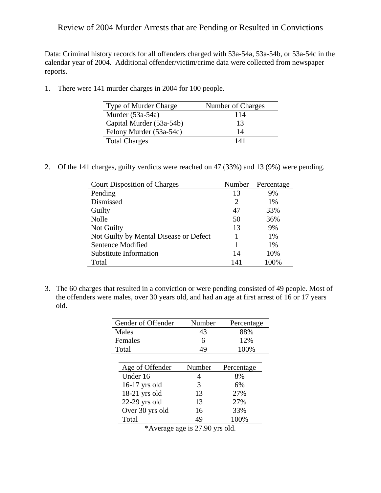## Review of 2004 Murder Arrests that are Pending or Resulted in Convictions

Data: Criminal history records for all offenders charged with 53a-54a, 53a-54b, or 53a-54c in the calendar year of 2004. Additional offender/victim/crime data were collected from newspaper reports.

1. There were 141 murder charges in 2004 for 100 people.

| Type of Murder Charge    | Number of Charges |
|--------------------------|-------------------|
| Murder $(53a-54a)$       | 114               |
| Capital Murder (53a-54b) | 13                |
| Felony Murder (53a-54c)  | 14                |
| <b>Total Charges</b>     | 141               |

2. Of the 141 charges, guilty verdicts were reached on 47 (33%) and 13 (9%) were pending.

| <b>Court Disposition of Charges</b>    | Number | Percentage |
|----------------------------------------|--------|------------|
| Pending                                | 13     | 9%         |
| Dismissed                              | 2      | 1%         |
| Guilty                                 | 47     | 33%        |
| <b>Nolle</b>                           | 50     | 36%        |
| Not Guilty                             | 13     | 9%         |
| Not Guilty by Mental Disease or Defect |        | 1%         |
| Sentence Modified                      | 1      | 1%         |
| Substitute Information                 | 14     | 10%        |
| Total                                  | 141    | 100%       |

3. The 60 charges that resulted in a conviction or were pending consisted of 49 people. Most of the offenders were males, over 30 years old, and had an age at first arrest of 16 or 17 years old.

| Gender of Offender | Number | Percentage |
|--------------------|--------|------------|
| Males              | 43     | 88%        |
| Females            | 6      | 12%        |
| Total              | 49     | 100%       |
|                    |        |            |
| Age of Offender    | Number | Percentage |
| Under 16           | 4      | 8%         |
| $16-17$ yrs old    | 3      | 6%         |
| $18-21$ yrs old    | 13     | 27%        |
| $22-29$ yrs old    | 13     | 27%        |
| Over 30 yrs old    | 16     | 33%        |
| Total              | 49     | 100%       |

\*Average age is 27.90 yrs old.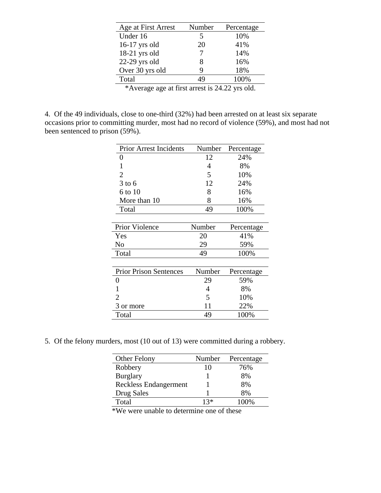| Age at First Arrest | Number | Percentage |
|---------------------|--------|------------|
| Under 16            | 5      | 10%        |
| $16-17$ yrs old     | 20     | 41%        |
| 18-21 yrs old       |        | 14%        |
| $22-29$ yrs old     | 8      | 16%        |
| Over 30 yrs old     | 9      | 18%        |
| Total               | 49     | 100%       |
|                     |        |            |

\*Average age at first arrest is 24.22 yrs old.

4. Of the 49 individuals, close to one-third (32%) had been arrested on at least six separate occasions prior to committing murder, most had no record of violence (59%), and most had not been sentenced to prison (59%).

| <b>Prior Arrest Incidents</b> | Number | Percentage |
|-------------------------------|--------|------------|
| 0                             | 12     | 24%        |
| 1                             | 4      | 8%         |
| $\overline{2}$                | 5      | 10%        |
| $3$ to 6                      | 12     | 24%        |
| 6 to 10                       | 8      | 16%        |
| More than 10                  | 8      | 16%        |
| Total                         | 49     | 100%       |
|                               |        |            |
| <b>Prior Violence</b>         | Number | Percentage |
| Yes                           | 20     | 41%        |
| No                            | 29     | 59%        |
| Total                         | 49     | 100%       |
|                               |        |            |
| <b>Prior Prison Sentences</b> | Number | Percentage |
| $\mathbf{0}$                  | 29     | 59%        |
|                               | 4      | 8%         |
| 2                             | 5      | 10%        |
| 3 or more                     | 11     | 22%        |
| Total                         | 49     | 100%       |

5. Of the felony murders, most (10 out of 13) were committed during a robbery.

| Other Felony                 | Number | Percentage |
|------------------------------|--------|------------|
| Robbery                      | 10     | 76%        |
| <b>Burglary</b>              |        | 8%         |
| <b>Reckless Endangerment</b> |        | 8%         |
| Drug Sales                   |        | 8%         |
| Total                        | $13*$  | 100%       |

\*We were unable to determine one of these